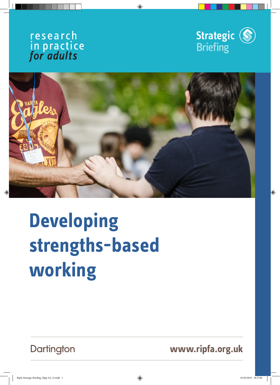





# **Developing strengths-based working**

Dartington

**www.ripfa.org.uk**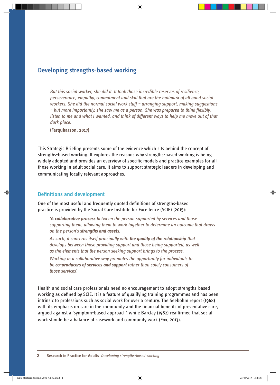## **Developing strengths-based working**

*But this social worker, she did it. It took those incredible reserves of resilience, perseverance, empathy, commitment and skill that are the hallmark of all good social workers. She did the normal social work stuff – arranging support, making suggestions – but more importantly, she saw me as a person. She was prepared to think flexibly, listen to me and what I wanted, and think of different ways to help me move out of that dark place.* 

**(Farquharson, 2017)**

This Strategic Briefing presents some of the evidence which sits behind the concept of strengths-based working. It explores the reasons why strengths-based working is being widely adopted and provides an overview of specific models and practice examples for all those working in adult social care. It aims to support strategic leaders in developing and communicating locally relevant approaches.

#### **Definitions and development**

One of the most useful and frequently quoted definitions of strengths-based practice is provided by the Social Care Institute for Excellence (SCIE) (2015):

*'A collaborative process between the person supported by services and those supporting them, allowing them to work together to determine an outcome that draws on the person's strengths and assets.* 

*As such, it concerns itself principally with the quality of the relationship that*  develops between those providing support and those being supported, as well *as the elements that the person seeking support brings to the process.* 

*Working in a collaborative way promotes the opportunity for individuals to be co-producers of services and support rather than solely consumers of those services'.*

Health and social care professionals need no encouragement to adopt strengths-based working as defined by SCIE. It is a feature of qualifying training programmes and has been intrinsic to professions such as social work for over a century. The Seebohm report (1968) with its emphasis on care in the community and the financial benefits of preventative care, argued against a 'symptom-based approach', while Barclay (1982) reaffirmed that social work should be a balance of casework and community work (Fox, 2013).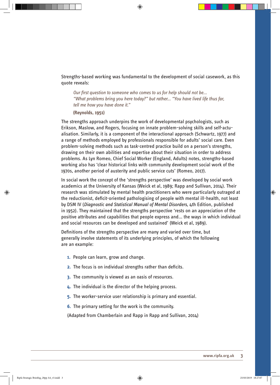Strengths-based working was fundamental to the development of social casework, as this quote reveals:

*Our first question to someone who comes to us for help should not be... "What problems bring you here today?" but rather... "You have lived life thus far, tell me how you have done it."* 

**(Reynolds, 1951)**

The strengths approach underpins the work of developmental psychologists, such as Erikson, Maslow, and Rogers, focusing on innate problem-solving skills and self-actualisation. Similarly, it is a component of the interactional approach (Schwartz, 1977) and a range of methods employed by professionals responsible for adults' social care. Even problem-solving methods such as task-centred practice build on a person's strengths, drawing on their own abilities and expertise about their situation in order to address problems. As Lyn Romeo, Chief Social Worker (England, Adults) notes, strengths-based working also has 'clear historical links with community development social work of the 1970s, another period of austerity and public service cuts' (Romeo, 2017).

In social work the concept of the 'strengths perspective' was developed by social work academics at the University of Kansas (Weick et al, 1989; Rapp and Sullivan, 2014). Their research was stimulated by mental health practitioners who were particularly outraged at the reductionist, deficit-oriented pathologising of people with mental ill-health, not least by DSM IV (*Diagnostic and Statistical Manual of Mental Disorders*, 4th Edition, published in 1952). They maintained that the strengths perspective 'rests on an appreciation of the positive attributes and capabilities that people express and... the ways in which individual and social resources can be developed and sustained' (Weick et al, 1989).

Definitions of the strengths perspective are many and varied over time, but generally involve statements of its underlying principles, of which the following are an example:

- **1.** People can learn, grow and change.
- **2.** The focus is on individual strengths rather than deficits.
- **3.** The community is viewed as an oasis of resources.
- **4.** The individual is the director of the helping process.
- **5.** The worker-service user relationship is primary and essential.
- **6.** The primary setting for the work is the community.

(Adapted from Chamberlain and Rapp in Rapp and Sullivan, 2014)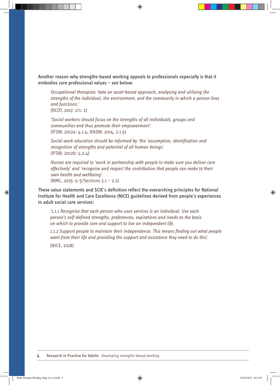Another reason why strengths-based working appeals to professionals especially is that it embodies core professional values – see below:

*Occupational therapists 'take an asset-based approach, analysing and utilising the strengths of the individual, the environment, and the community in which a person lives and functions.'* (RCOT, 2017: 2/1: 2)

*'Social workers should focus on the strengths of all individuals, groups and communities and thus promote their empowerment'.* (IFSW, 2012a: 4.1.4; BASW, 2014, 2.1.5)

*Social work education should be informed by 'the 'assumption, identification and recognition of strengths and potential of all human beings'.* (IFSW, 2012b: 4.2.4)

*Nurses are required to 'work in partnership with people to make sure you deliver care effectively' and 'recognise and respect the contribution that people can make to their own health and wellbeing'.*

(NMC, 2015: 4-5/Sections 2.1 – 2.2)

These value statements and SCIE's definition reflect the overarching principles for National Institute for Health and Care Excellence (NICE) guidelines derived from people's experiences in adult social care services:

*'1.1.1 Recognise that each person who uses services is an individual. Use each person's self-defined strengths, preferences, aspirations and needs as the basis on which to provide care and support to live an independent life.* 

*1.1.2 Support people to maintain their independence. This means finding out what people want from their life and providing the support and assistance they need to do this'.* 

(NICE, 2018)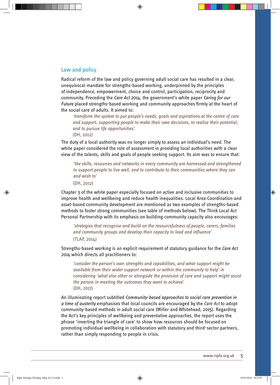#### **Law and policy**

Radical reform of the law and policy governing adult social care has resulted in a clear, unequivocal mandate for strengths-based working, underpinned by the principles of independence, empowerment, choice and control, participation, reciprocity and community. Preceding the *Care Act 2014*, the government's white paper *Caring for our Future* placed strengths-based working and community approaches firmly at the heart of the social care of adults. It aimed to:

*'transform the system to put people's needs, goals and aspirations at the centre of care and support, supporting people to make their own decisions, to realise their potential, and to pursue life opportunities'.* 

(DH, 2012)

The duty of a local authority was no longer simply to assess an individual's need. The white paper considered the role of assessment in providing local authorities with a clear view of the talents, skills and goals of people seeking support. Its aim was to ensure that:

*'the skills, resources and networks in every community are harnessed and strengthened to support people to live well, and to contribute to their communities where they can and wish to'* 

(DH, 2012)

Chapter 3 of the white paper especially focused on active and inclusive communities to improve health and wellbeing and reduce health inequalities. Local Area Coordination and asset-based community development are mentioned as two examples of strengths-based methods to foster strong communities (see table of methods below). The Think Local Act Personal Partnership with its emphasis on building community capacity also encourages:

*'strategies that recognise and build on the resourcefulness of people, carers, families and community groups and develop their capacity to lead and influence'*  (TLAP, 2014)

Strengths-based working is an explicit requirement of statutory guidance for the *Care Act 2014* which directs all practitioners to:

*'consider the person's own strengths and capabilities, and what support might be available from their wider support network or within the community to help' in considering 'what else other or alongside the provision of care and support might assist the person in meeting the outcomes they want to achieve'.*  (DH, 2017)

An illuminating report subtitled *Community-based approaches to social care prevention in a time of austerity* emphasises that local councils are encouraged by the *Care Act* to adopt community-based methods in adult social care (Miller and Whitehead, 2015). Regarding the Act's key principles of wellbeing and preventative approaches, the report uses the phrase 'inverting the triangle of care' to show how resources should be focused on promoting individual wellbeing in collaboration with statutory and third-sector partners, rather than simply responding to people in crisis.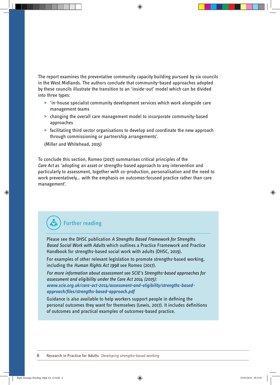The report examines the preventative community capacity building pursued by six councils in the West Midlands. The authors conclude that community-based approaches adopted by these councils illustrate the transition to an 'inside-out' model which can be divided into three types:

- **>** 'in-house specialist community development services which work alongside care management teams
- **>** changing the overall care management model to incorporate community-based approaches
- **>** facilitating third sector organisations to develop and coordinate the new approach through commissioning or partnership arrangements'.

(Miller and Whitehead, 2015)

To conclude this section, Romeo (2017) summarises critical principles of the *Care Act* as 'adopting an asset or strengths-based approach to any intervention and particularly to assessment, together with co-production, personalisation and the need to work preventatively… with the emphasis on outcomes-focused practice rather than care management'.

# **Further reading**

Please see the DHSC publication *A Strengths Based Framework for Strengths Based Social Work with Adults* which outlines a Practice Framework and Practice Handbook for strengths-based social work with adults (DHSC, 2019).

For examples of other relevant legislation to promote strengths-based working, including the *Human Rights Act 1998* see Romeo (2017).

*For more information about assessment see SCIE's Strengths-based approaches for assessment and eligibility under the Care Act 2014 (2015): www.scie.org.uk/care-act-2014/assessment-and-eligibility/strengths-basedapproach/files/strengths-based-approach.pdf* 

Guidance is also available to help workers support people in defining the personal outcomes they want for themselves (Lewis, 2017). It includes definitions of outcomes and practical examples of outcomes-based practice.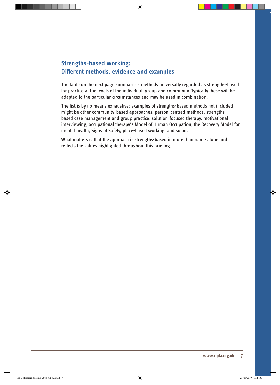## **Strengths-based working: Different methods, evidence and examples**

The table on the next page summarises methods universally regarded as strengths-based for practice at the levels of the individual, group and community. Typically these will be adapted to the particular circumstances and may be used in combination.

The list is by no means exhaustive; examples of strengths-based methods not included might be other community-based approaches, person-centred methods, strengthsbased case management and group practice, solution-focused therapy, motivational interviewing, occupational therapy's Model of Human Occupation, the Recovery Model for mental health, Signs of Safety, place-based working, and so on.

What matters is that the approach is strengths-based in more than name alone and reflects the values highlighted throughout this briefing.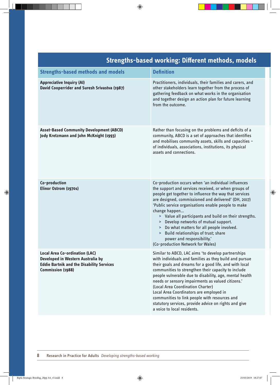| <b>Strengths-based working: Different methods, models</b>                                                                                           |                                                                                                                                                                                                                                                                                                                                                                                                                                                                                                                                                                        |  |
|-----------------------------------------------------------------------------------------------------------------------------------------------------|------------------------------------------------------------------------------------------------------------------------------------------------------------------------------------------------------------------------------------------------------------------------------------------------------------------------------------------------------------------------------------------------------------------------------------------------------------------------------------------------------------------------------------------------------------------------|--|
| <b>Strengths-based methods and models</b>                                                                                                           | <b>Definition</b>                                                                                                                                                                                                                                                                                                                                                                                                                                                                                                                                                      |  |
| <b>Appreciative Inquiry (AI)</b><br><b>David Cooperrider and Suresh Srivastva (1987)</b>                                                            | Practitioners, individuals, their families and carers, and<br>other stakeholders learn together from the process of<br>gathering feedback on what works in the organisation<br>and together design an action plan for future learning<br>from the outcome.                                                                                                                                                                                                                                                                                                             |  |
| <b>Asset-Based Community Development (ABCD)</b><br>Jody Kretzmann and John McKnight (1993)                                                          | Rather than focusing on the problems and deficits of a<br>community, ABCD is a set of approaches that identifies<br>and mobilises community assets, skills and capacities -<br>of individuals, associations, institutions, its physical<br>assets and connections.                                                                                                                                                                                                                                                                                                     |  |
| Co-production<br>Elinor Ostrom (1970s)                                                                                                              | Co-production occurs when 'an individual influences<br>the support and services received, or when groups of<br>people get together to influence the way that services<br>are designed, commissioned and delivered' (DH, 2017)<br>'Public service organisations enable people to make<br>change happen<br>> Value all participants and build on their strengths.<br>> Develop networks of mutual support.<br>> Do what matters for all people involved.<br>> Build relationships of trust; share<br>power and responsibility.'<br>(Co-production Network for Wales)     |  |
| <b>Local Area Co-ordination (LAC)</b><br>Developed in Western Australia by<br><b>Eddie Bartnik and the Disability Services</b><br>Commission (1988) | Similar to ABCD, LAC aims 'to develop partnerships<br>with individuals and families as they build and pursue<br>their goals and dreams for a good life, and with local<br>communities to strengthen their capacity to include<br>people vulnerable due to disability, age, mental health<br>needs or sensory impairments as valued citizens.'<br>(Local Area Coordination Charter)<br>Local Area Coordinators are employed in<br>communities to link people with resources and<br>statutory services, provide advice on rights and give<br>a voice to local residents. |  |

#### **8 Research in Practice for Adults** *Developing strengths-based working*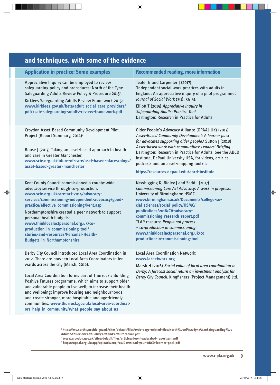| and techniques, with some of the evidence                                                                                                                                                                                                                                                                                                                                                                                                                                                                                                                                    |                                                                                                                                                                                                                                                                                                                                                                                                                                                          |  |
|------------------------------------------------------------------------------------------------------------------------------------------------------------------------------------------------------------------------------------------------------------------------------------------------------------------------------------------------------------------------------------------------------------------------------------------------------------------------------------------------------------------------------------------------------------------------------|----------------------------------------------------------------------------------------------------------------------------------------------------------------------------------------------------------------------------------------------------------------------------------------------------------------------------------------------------------------------------------------------------------------------------------------------------------|--|
| <b>Application in practice: Some examples</b>                                                                                                                                                                                                                                                                                                                                                                                                                                                                                                                                | <b>Recommended reading, more information</b>                                                                                                                                                                                                                                                                                                                                                                                                             |  |
| Appreciative Inquiry can be employed to review<br>safeguarding policy and procedures: North of the Tyne<br>Safeguarding Adults Review Policy & Procedure 2015 <sup>1</sup><br>Kirklees Safeguarding Adults Review Framework 2015:<br>www.kirklees.gov.uk/beta/adult-social-care-providers/<br>pdf/ksab-safeguarding-adults-review-framework.pdf                                                                                                                                                                                                                              | Teater B and Carpenter J (2017)<br>'Independent social work practices with adults in<br>England: An appreciative inquiry of a pilot programme'.<br>Journal of Social Work 17(1), 34-51.<br>Elliott T (2015) Appreciative Inquiry in<br><b>Safeguarding Adults: Practice Tool.</b><br>Dartington: Research in Practice for Adults                                                                                                                         |  |
| Croydon Asset-Based Community Development Pilot<br>Project (Report Summary, 2014) <sup>2</sup><br>Rouse J (2017) Taking an asset-based approach to health<br>and care in Greater Manchester.<br>www.scie.org.uk/future-of-care/aset-based-places/blogs/<br>asset-based-greater-manchester                                                                                                                                                                                                                                                                                    | Older People's Advocacy Alliance (OPAAL UK) (2017)<br>Asset-Based Community Development: A learner pack<br>for advocates supporting older people. <sup>3</sup> Sutton J (2018)<br>Asset-based work with communities: Leaders' Briefing.<br>Dartington: Research in Practice for Adults. See the ABCD<br>Institute, DePaul University USA, for videos, articles,<br>podcasts and an asset-mapping toolkit:<br>https://resources.depaul.edu/abcd-institute |  |
| Kent County Council commissioned a county-wide<br>advocacy service through co-production:<br>www.scie.org.uk/care-act-2014/advocacy-<br>services/commissioning-independent-advocacy/good-<br>practice/effective-commissioning/kent.asp<br>Northamptonshire created a peer network to support<br>personal health budgets:<br>www.thinklocalactpersonal.org.uk/co-<br>production-in-commissioning-tool/<br>stories-and-resources/Personal-Health-<br><b>Budgets-in-Northamptonshire</b>                                                                                        | Newbigging K, Ridley J and Sadd J (2017)<br>Commissioning Care Act Advocacy: A work in progress.<br>University of Birmingham: HSMC.<br>www.birmingham.ac.uk/Documents/college-so-<br>cial-sciences/social-policy/HSMC/<br>publications/2016/CA-advocacy-<br>commissioning-research-report.pdf<br>TLAP resource People not process<br>- co-production in commissioning:<br>www.thinklocalactpersonal.org.uk/co-<br>production-in-commissioning-tool       |  |
| Derby City Council introduced Local Area Coordination in<br>2012. There are now ten Local Area Coordinators in ten<br>wards across the city (Marsh, 2016).<br>Local Area Coordination forms part of Thurrock's Building<br>Positive Futures programme, which aims to support older<br>and vulnerable people to live well; to increase their health<br>and wellbeing; improve housing and neighbourhoods<br>and create stronger, more hospitable and age-friendly<br>communities. www.thurrock.gov.uk/local-area-coordinat-<br>ors-help-in-community/what-people-say-about-us | <b>Local Area Coordination Network:</b><br>www.lacnetwork.org<br>Marsh H (2016) Social value of local area coordination in<br>Derby: A forecast social return on investment analysis for<br>Derby City Council. Kingfishers (Project Management) Ltd.                                                                                                                                                                                                    |  |

<sup>1</sup> **https://my.northtyneside.gov.uk/sites/default/files/web-page-related-files/North%20of%20Tyne%20Safeguarding%20**

**Adult%20Review%20Policy%20and%20Procedure.pdf**  2  **www.croydon.gov.uk/sites/default/files/articles/downloads/abcd-reportsum.pdf** 

3  **https://opaal.org.uk/app/uploads/2017/07/Download-your-ABCD-learner-pack.pdf**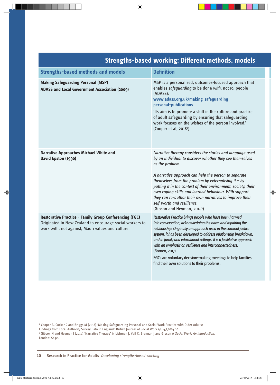| <u>sachgais wasca working, bincrein meanoasj moacis</u>                                                                                                                        |                                                                                                                                                                                                                                                                                                                                                                                                                                                                                                                                    |  |
|--------------------------------------------------------------------------------------------------------------------------------------------------------------------------------|------------------------------------------------------------------------------------------------------------------------------------------------------------------------------------------------------------------------------------------------------------------------------------------------------------------------------------------------------------------------------------------------------------------------------------------------------------------------------------------------------------------------------------|--|
| <b>Strengths-based methods and models</b>                                                                                                                                      | <b>Definition</b>                                                                                                                                                                                                                                                                                                                                                                                                                                                                                                                  |  |
| <b>Making Safeguarding Personal (MSP)</b><br><b>ADASS and Local Government Association (2009)</b>                                                                              | MSP is a personalised, outcomes-focused approach that<br>enables safeguarding to be done with, not to, people<br>(ADASS):<br>www.adass.org.uk/making-safeguarding-<br>personal-publications<br>'Its aim is to promote a shift in the culture and practice<br>of adult safeguarding by ensuring that safeguarding<br>work focuses on the wishes of the person involved.'<br>(Cooper et al, 20184)                                                                                                                                   |  |
| <b>Narrative Approaches Michael White and</b><br>David Epston (1990)                                                                                                           | Narrative therapy considers the stories and language used<br>by an individual to discover whether they see themselves<br>as the problem.<br>A narrative approach can help the person to separate<br>themselves from the problem by externalising it - by<br>putting it in the context of their environment, society, their<br>own coping skills and learned behaviour. With support<br>they can re-author their own narratives to improve their<br>self-worth and resilience.<br>(Gibson and Heyman, 2014 <sup>5</sup> )           |  |
| <b>Restorative Practice - Family Group Conferencing (FGC)</b><br>Originated in New Zealand to encourage social workers to<br>work with, not against, Maori values and culture. | Restorative Practice brings people who have been harmed<br>into conversation, acknowledging the harm and repairing the<br>relationship. Originally an approach used in the criminal justice<br>system, it has been developed to address relationship breakdown,<br>and in family and educational settings. It is a facilitative approach<br>with an emphasis on resilience and interconnectedness.<br>(Romeo, 2017)<br>FGCs are voluntary decision-making meetings to help families<br>find their own solutions to their problems. |  |

## **Strengths-based working: Different methods, models**

<sup>4</sup> Cooper A, Cocker C and Briggs M (2018) 'Making Safeguarding Personal and Social Work Practice with Older Adults:

Findings from Local Authority Survey Data in England'. British Journal of Social Work 48, 4,1,1014-10.

<sup>5</sup> Gibson N and Heyman I (2014) 'Narrative Therapy' in Lishman J, Yuil C, Brannan J and Gibson A *Social Work: An Introduction*. London: Sage.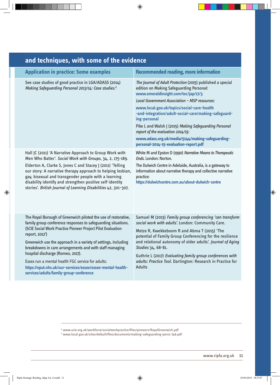| and techniques, with some of the evidence                                                                                                                                                                                                                                                                                                                                                                                                                                                                                                                      |                                                                                                                                                                                                                                                                                                                                                                                                                                                                                                                   |
|----------------------------------------------------------------------------------------------------------------------------------------------------------------------------------------------------------------------------------------------------------------------------------------------------------------------------------------------------------------------------------------------------------------------------------------------------------------------------------------------------------------------------------------------------------------|-------------------------------------------------------------------------------------------------------------------------------------------------------------------------------------------------------------------------------------------------------------------------------------------------------------------------------------------------------------------------------------------------------------------------------------------------------------------------------------------------------------------|
| <b>Application in practice: Some examples</b>                                                                                                                                                                                                                                                                                                                                                                                                                                                                                                                  | <b>Recommended reading, more information</b>                                                                                                                                                                                                                                                                                                                                                                                                                                                                      |
| See case studies of good practice in LGA/ADASS (2014)<br>Making Safeguarding Personal 2013/14: Case studies. <sup>6</sup>                                                                                                                                                                                                                                                                                                                                                                                                                                      | The Journal of Adult Protection (2015) published a special<br>edition on Making Safeguarding Personal:<br>www.emeraldinsight.com/toc/jap/17/3<br>Local Government Association - MSP resources:<br>www.local.gov.uk/topics/social-care-health<br>-and-integration/adult-social-care/making-safeguard-<br>ing-personal<br>Pike L and Walsh J (2015) Making Safeguarding Personal<br>report of the evaluation 2014/15:<br>www.adass.org.uk/media/5144/making-safeguarding-<br>personal-2014-15-evaluation-report.pdf |
| Hall JC (2011) 'A Narrative Approach to Group Work with<br>Men Who Batter'. Social Work with Groups, 34, 2, 175-189.<br>Elderton A, Clarke S, Jones C and Stacey J (2011) 'Telling<br>our story: A narrative therapy approach to helping lesbian,<br>gay, bisexual and transgender people with a learning<br>disability identify and strengthen positive self-identity<br>stories'. British Journal of Learning Disabilities 42, 301-307.                                                                                                                      | White M and Epston D (1990) Narrative Means to Therapeutic<br>Ends. London: Norton.<br>The Dulwich Centre in Adelaide, Australia, is a gateway to<br>information about narrative therapy and collective narrative<br>practice:<br>https://dulwichcentre.com.au/about-dulwich-centre                                                                                                                                                                                                                               |
| The Royal Borough of Greenwich piloted the use of restorative,<br>family group conference responses to safeguarding situations.<br>(SCIE Social Work Practice Pioneer Project Pilot Evaluation<br>report, 2012 <sup>7</sup> )<br>Greenwich use the approach in a variety of settings, including<br>breakdowns in care arrangements and with staff managing<br>hospital discharge (Romeo, 2017).<br>Essex run a mental health FGC service for adults:<br>https://eput.nhs.uk/our-services/essex/essex-mental-health-<br>services/adults/family-group-conference | Samuel M (2013) Family group conferencing 'can transform<br>social work with adults'. London: Community Care.<br>Metze R, Kwekkeboom R and Abma T (2015) 'The<br>potential of Family Group Conferencing for the resilience<br>and relational autonomy of older adults'. Journal of Aging<br>Studies 34, 68-81.<br>Guthrie L (2017) Evaluating family group conferences with<br>adults: Practice Tool. Dartington: Research in Practice for<br><b>Adults</b>                                                       |

## **and techniques, with some of the evidence**

<sup>6</sup> www.scie.org.uk/workforce/socialworkpractice/files/pioneers/RoyalGreenwich.pdf 7 www.local.gov.uk/sites/default/files/documents/making-safeguarding-perso-746.pdf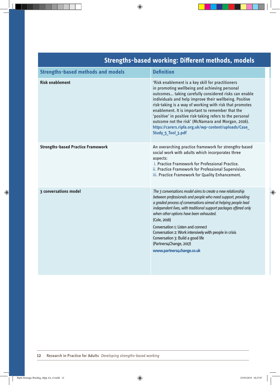| <u>Suenguis-Dased Working. Dillerent inethous, models</u> |                                                                                                                                                                                                                                                                                                                                                                                                                                                                                                                                      |
|-----------------------------------------------------------|--------------------------------------------------------------------------------------------------------------------------------------------------------------------------------------------------------------------------------------------------------------------------------------------------------------------------------------------------------------------------------------------------------------------------------------------------------------------------------------------------------------------------------------|
| <b>Strengths-based methods and models</b>                 | <b>Definition</b>                                                                                                                                                                                                                                                                                                                                                                                                                                                                                                                    |
| <b>Risk enablement</b>                                    | 'Risk enablement is a key skill for practitioners<br>in promoting wellbeing and achieving personal<br>outcomes taking carefully considered risks can enable<br>individuals and help improve their wellbeing. Positive<br>risk-taking is a way of working with risk that promotes<br>enablement. It is important to remember that the<br>'positive' in positive risk-taking refers to the personal<br>outcome not the risk' (McNamara and Morgan, 2016).<br>https://carers.ripfa.org.uk/wp-content/uploads/Case<br>Study 5 Tool 3.pdf |
| <b>Strengths-based Practice Framework</b>                 | An overarching practice framework for strengths-based<br>social work with adults which incorporates three<br>aspects:<br>i. Practice Framework for Professional Practice.<br>ii. Practice Framework for Professional Supervision.<br>iii. Practice Framework for Quality Enhancement.                                                                                                                                                                                                                                                |
| <b>3 conversations model</b>                              | The 3 conversations model aims to create a new relationship<br>between professionals and people who need support, providing<br>a graded process of conversations aimed at helping people lead<br>independent lives, with traditional support packages offered only<br>when other options have been exhausted.<br>(Cole, 2016)<br>Conversation 1: Listen and connect<br>Conversation 2: Work intensively with people in crisis<br>Conversation 3: Build a good life<br>(Partners4Change, 2017)<br>www.partners4change.co.uk           |

# **Strengths-based working: Different methods, models**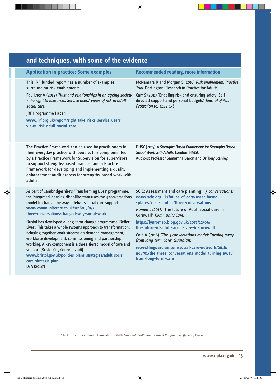| and techniques, with some of the evidence                                                                                                                                                                                                                                                                                                                                                                                                                                                                                                                                                                                                                                                                                                                   |                                                                                                                                                                                                                                                                                                                                                                                                                                                                                                                                                           |  |
|-------------------------------------------------------------------------------------------------------------------------------------------------------------------------------------------------------------------------------------------------------------------------------------------------------------------------------------------------------------------------------------------------------------------------------------------------------------------------------------------------------------------------------------------------------------------------------------------------------------------------------------------------------------------------------------------------------------------------------------------------------------|-----------------------------------------------------------------------------------------------------------------------------------------------------------------------------------------------------------------------------------------------------------------------------------------------------------------------------------------------------------------------------------------------------------------------------------------------------------------------------------------------------------------------------------------------------------|--|
| <b>Application in practice: Some examples</b>                                                                                                                                                                                                                                                                                                                                                                                                                                                                                                                                                                                                                                                                                                               | <b>Recommended reading, more information</b>                                                                                                                                                                                                                                                                                                                                                                                                                                                                                                              |  |
| This JRF-funded report has a number of examples<br>surrounding risk enablement:<br>Faulkner A (2012) Trust and relationships in an ageing society<br>- the right to take risks: Service users' views of risk in adult<br>social care.<br>JRF Programme Paper:<br>www.jrf.org.uk/report/right-take-risks-service-users-<br>views-risk-adult-social-care                                                                                                                                                                                                                                                                                                                                                                                                      | McNamara R and Morgan S (2016) Risk enablement: Practice<br>Tool. Dartington: Research in Practice for Adults.<br>Carr S (2011) 'Enabling risk and ensuring safety: Self-<br>directed support and personal budgets'. Journal of Adult<br>Protection 13, 3,122-136.                                                                                                                                                                                                                                                                                        |  |
| The Practice Framework can be used by practitioners in<br>their everyday practice with people. It is complemented<br>by a Practice Framework for Supervision for supervisors<br>to support strengths-based practice, and a Practice<br>Framework for developing and implementing a quality<br>enhancement audit process for strengths-based work with<br>adults.                                                                                                                                                                                                                                                                                                                                                                                            | DHSC (2019) A Strengths Based Framework for Strengths Based<br>Social Work with Adults. London: HMSO.<br>Authors: Professor Samantha Baron and Dr Tony Stanley.                                                                                                                                                                                                                                                                                                                                                                                           |  |
| As part of Cambridgeshire's 'Transforming Lives' programme,<br>the integrated learning disability team uses the 3 conversations<br>model to change the way it delivers social care support:<br>www.communitycare.co.uk/2016/05/03/<br>three-conversations-changed-way-social-work<br>Bristol has developed a long-term change programme 'Better<br>Lives'. This takes a whole systems approach to transformation,<br>bringing together work streams on demand management,<br>workforce development, commissioning and partnership<br>working. A key component is a three-tiered model of care and<br>support (Bristol City Council, 2016).<br>www.bristol.gov.uk/policies-plans-strategies/adult-social-<br>care-strategic-plan<br>LGA (2018 <sup>8</sup> ) | SCIE: Assessment and care planning - 3 conversations:<br>www.scie.org.uk/future-of-care/asset-based<br>-places/case-studies/three-conversations<br>Romeo L (2017) 'The future of Adult Social Care in<br>Cornwall'. Community Care:<br>https://lynromeo.blog.gov.uk/2017/12/04/<br>the-future-of-adult-social-care-in-cornwall<br>Cole A (2016) 'The 3 conversations model: Turning away<br>from long-term care'. Guardian:<br>www.theguardian.com/social-care-network/2016/<br>nov/01/the-three-conversations-model-turning-away-<br>from-long-term-care |  |

## **and techniques, with some of the evidence**

8 LGA (Local Government Association) (2018) *Care and Health Improvement Programme Efficiency Project.*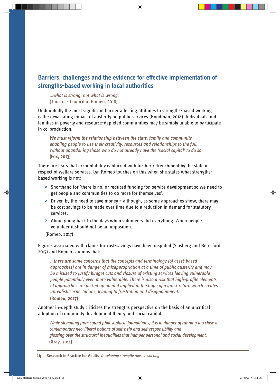## **Barriers, challenges and the evidence for effective implementation of strengths-based working in local authorities**

*…what is strong, not what is wrong.*  (Thurrock Council in Romeo, 2018)

Undoubtedly the most significant barrier affecting attitudes to strengths-based working is the devastating impact of austerity on public services (Goodman, 2018). Individuals and families in poverty and resource-depleted communities may be simply unable to participate in co-production.

*We must reform the relationship between the state, family and community, enabling people to use their creativity, resources and relationships to the full, without abandoning those who do not already have the 'social capital' to do so.*  **(Fox, 2013)**

There are fears that accountability is blurred with further retrenchment by the state in respect of welfare services. Lyn Romeo touches on this when she states what strengthsbased working is not:

- **>** Shorthand for 'there is no, or reduced funding for, service development so we need to get people and communities to do more for themselves'.
- **>** Driven by the need to save money although, as some approaches show, there may be cost savings to be made over time due to a reduction in demand for statutory services.
- **>** About going back to the days when volunteers did everything. When people volunteer it should not be an imposition.

(Romeo, 2017)

Figures associated with claims for cost-savings have been disputed (Slasberg and Beresford, 2017) and Romeo cautions that:

*…there are some concerns that the concepts and terminology (of asset-based approaches) are in danger of misappropriation at a time of public austerity and may be misused to justify budget cuts and closure of existing services leaving vulnerable people potentially even more vulnerable. There is also a risk that high-profile elements of approaches are picked up on and applied in the hope of a quick return which creates unrealistic expectations, leading to frustration and disappointment.* **(Romeo, 2017)** 

Another in-depth study criticises the strengths perspective on the basis of an uncritical adoption of community development theory and social capital:

*While stemming from sound philosophical foundations, it is in danger of running too close to contemporary neo-liberal notions of self-help and self-responsibility and glossing over the structural inequalities that hamper personal and social development.*  **(Gray, 2011)**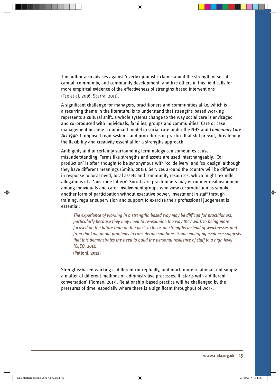The author also advises against 'overly optimistic claims about the strength of social capital, community, and community development' and like others in this field calls for more empirical evidence of the effectiveness of strengths-based interventions (Tse et al, 2016; Scerra, 2011).

A significant challenge for managers, practitioners and communities alike, which is a recurring theme in the literature, is to understand that strengths-based working represents a cultural shift, a whole systems change to the way social care is envisaged and co-produced with individuals, families, groups and communities. Care or case management became a dominant model in social care under the NHS and *Community Care Act 1990*. It imposed rigid systems and procedures in practice that still prevail, threatening the flexibility and creativity essential for a strengths approach.

Ambiguity and uncertainty surrounding terminology can sometimes cause misunderstanding. Terms like strengths and assets are used interchangeably. 'Coproduction' is often thought to be synonymous with 'co-delivery' and 'co-design' although they have different meanings (Smith, 2018). Services around the country will be different in response to local need, local assets and community resources, which might rekindle allegations of a 'postcode lottery'. Social care practitioners may encounter disillusionment among individuals and carer involvement groups who view co-production as simply another form of participation without executive power. Investment in staff through training, regular supervision and support to exercise their professional judgement is essential:

*The experience of working in a strengths-based way may be difficult for practitioners, particularly because they may need to re-examine the way they work to being more focused on the future than on the past, to focus on strengths instead of weaknesses and from thinking about problems to considering solutions. Some emerging evidence suggests that this demonstrates the need to build the personal resilience of staff to a high level (C4EO, 2011).* 

**(Pattoni, 2012)**

Strengths-based working is different conceptually, and much more relational, not simply a matter of different methods or administrative processes. It 'starts with a different conversation' (Romeo, 2017). Relationship-based practice will be challenged by the pressures of time, especially where there is a significant throughput of work.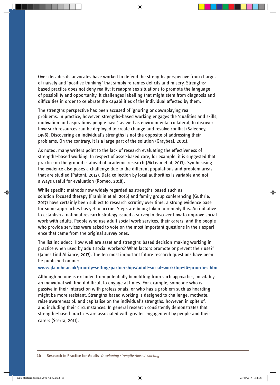Over decades its advocates have worked to defend the strengths perspective from charges of naivety and 'positive thinking' that simply reframes deficits and misery. Strengthsbased practice does not deny reality; it reappraises situations to promote the language of possibility and opportunity. It challenges labelling that might stem from diagnosis and difficulties in order to celebrate the capabilities of the individual affected by them.

The strengths perspective has been accused of ignoring or downplaying real problems. In practice, however, strengths-based working engages the 'qualities and skills, motivation and aspirations people have', as well as environmental collateral, to discover how such resources can be deployed to create change and resolve conflict (Saleebey, 1996). Discovering an individual's strengths is not the opposite of addressing their problems. On the contrary, it is a large part of the solution (Graybeal, 2001).

As noted, many writers point to the lack of research evaluating the effectiveness of strengths-based working. In respect of asset-based care, for example, it is suggested that practice on the ground is ahead of academic research (McLean et al, 2017). Synthesising the evidence also poses a challenge due to the different populations and problem areas that are studied (Pattoni, 2012). Data collection by local authorities is variable and not always useful for evaluation (Romeo, 2018).

While specific methods now widely regarded as strengths-based such as solution-focused therapy (Franklin et al, 2016) and family group conferencing (Guthrie, 2017) have certainly been subject to research scrutiny over time, a strong evidence base for some approaches has yet to accrue. Steps are being taken to remedy this. An initiative to establish a national research strategy issued a survey to discover how to improve social work with adults. People who use adult social work services, their carers, and the people who provide services were asked to vote on the most important questions in their experience that came from the original survey ones.

The list included: 'How well are asset and strengths-based decision-making working in practice when used by adult social workers? What factors promote or prevent their use?' (James Lind Alliance, 2017). The ten most important future research questions have been be published online:

#### **www.jla.nihr.ac.uk/priority-setting-partnerships/adult-social-work/top-10-priorities.htm**

Although no one is excluded from potentially benefitting from such approaches, inevitably an individual will find it difficult to engage at times. For example, someone who is passive in their interaction with professionals, or who has a problem such as hoarding might be more resistant. Strengths-based working is designed to challenge, motivate, raise awareness of, and capitalise on the individual's strengths, however, in spite of, and including their circumstances. In general research consistently demonstrates that strengths-based practices are associated with greater engagement by people and their carers (Scerra, 2011).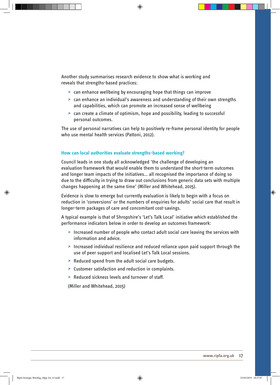Another study summarises research evidence to show what is working and reveals that strengths-based practices:

- *>* can enhance wellbeing by encouraging hope that things can improve
- *>* can enhance an individual's awareness and understanding of their own strengths and capabilities, which can promote an increased sense of wellbeing
- *>* can create a climate of optimism, hope and possibility, leading to successful personal outcomes.

The use of personal narratives can help to positively re-frame personal identity for people who use mental health services (Pattoni, 2012).

#### **How can local authorities evaluate strengths-based working?**

Council leads in one study all acknowledged 'the challenge of developing an evaluation framework that would enable them to understand the short-term outcomes and longer team impacts of the initiatives… all recognised the importance of doing so due to the difficulty in trying to draw out conclusions from generic data sets with multiple changes happening at the same time' (Miller and Whitehead, 2015).

Evidence is slow to emerge but currently evaluation is likely to begin with a focus on reduction in 'conversions' or the numbers of enquiries for adults' social care that result in longer-term packages of care and concomitant cost-savings.

A typical example is that of Shropshire's 'Let's Talk Local' initiative which established the performance indicators below in order to develop an outcomes framework:

- *>* Increased number of people who contact adult social care leaving the services with information and advice.
- *>* Increased individual resilience and reduced reliance upon paid support through the use of peer support and localised Let's Talk Local sessions.
- *>* Reduced spend from the adult social care budgets.
- *>* Customer satisfaction and reduction in complaints.
- *>* Reduced sickness levels and turnover of staff.

(Miller and Whitehead, 2015)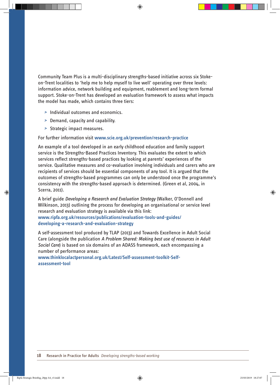Community Team Plus is a multi-disciplinary strengths-based initiative across six Stokeon-Trent localities to 'help me to help myself to live well' operating over three levels: information advice, network building and equipment, reablement and long-term formal support. Stoke-on-Trent has developed an evaluation framework to assess what impacts the model has made, which contains three tiers:

- *>* Individual outcomes and economics.
- *>* Demand, capacity and capability.
- *>* Strategic impact measures.

#### For further information visit **www.scie.org.uk/prevention/research-practice**

An example of a tool developed in an early childhood education and family support service is the Strengths-Based Practices Inventory. This evaluates the extent to which services reflect strengths-based practices by looking at parents' experiences of the service. Qualitative measures and co-evaluation involving individuals and carers who are recipients of services should be essential components of any tool. It is argued that the outcomes of strengths-based programmes can only be understood once the programme's consistency with the strengths-based approach is determined. (Green et al, 2004, in Scerra, 2011).

A brief guide *Developing a Research and Evaluation Strategy* (Walker, O'Donnell and Wilkinson, 2013) outlining the process for developing an organisational or service level research and evaluation strategy is available via this link:

**www.ripfa.org.uk/resources/publications/evaluation-tools-and-guides/ developing-a-research-and-evaluation-strategy** 

A self-assessment tool produced by TLAP (2013) and Towards Excellence in Adult Social Care (alongside the publication *A Problem Shared: Making best use of resources in Adult Social Care*) is based on six domains of an ADASS framework, each encompassing a number of performance areas:

**www.thinklocalactpersonal.org.uk/Latest/Self-assessment-toolkit-Selfassessment-tool**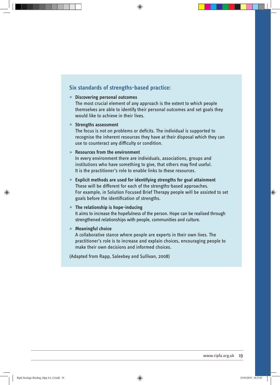#### **Six standards of strengths-based practice:**

#### *>* **Discovering personal outcomes**

The most crucial element of any approach is the extent to which people themselves are able to identify their personal outcomes and set goals they would like to achieve in their lives.

#### *>* **Strengths assessment**

The focus is not on problems or deficits. The individual is supported to recognise the inherent resources they have at their disposal which they can use to counteract any difficulty or condition.

#### *>* **Resources from the environment**

In every environment there are individuals, associations, groups and institutions who have something to give, that others may find useful. It is the practitioner's role to enable links to these resources.

*>* **Explicit methods are used for identifying strengths for goal attainment** These will be different for each of the strengths-based approaches. For example, in Solution Focused Brief Therapy people will be assisted to set goals before the identification of strengths.

#### *>* **The relationship is hope-inducing**

It aims to increase the hopefulness of the person. Hope can be realised through strengthened relationships with people, communities and culture.

#### *>* **Meaningful choice**

A collaborative stance where people are experts in their own lives. The practitioner's role is to increase and explain choices, encouraging people to make their own decisions and informed choices.

(Adapted from Rapp, Saleebey and Sullivan, 2008)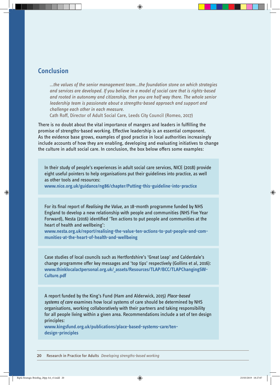## **Conclusion**

*…the values of the senior management team…the foundation stone on which strategies and services are developed. If you believe in a model of social care that is rights-based and rooted in autonomy and citizenship, then you are half way there. The whole senior leadership team is passionate about a strengths-based approach and support and challenge each other in each measure.*

Cath Roff, Director of Adult Social Care, Leeds City Council (Romeo, 2017)

There is no doubt about the vital importance of mangers and leaders in fulfilling the promise of strengths-based working. Effective leadership is an essential component. As the evidence base grows, examples of good practice in local authorities increasingly include accounts of how they are enabling, developing and evaluating initiatives to change the culture in adult social care. In conclusion, the box below offers some examples:

In their study of people's experiences in adult social care services, NICE (2018) provide eight useful pointers to help organisations put their guidelines into practice, as well as other tools and resources:

**www.nice.org.uk/guidance/ng86/chapter/Putting-this-guideline-into-practice**

For its final report of *Realising the Value*, an 18-month programme funded by NHS England to develop a new relationship with people and communities (NHS Five Year Forward), Nesta (2016) identified 'Ten actions to put people and communities at the heart of health and wellbeing':

**www.nesta.org.uk/report/realising-the-value-ten-actions-to-put-people-and-communities-at-the-heart-of-health-and-wellbeing**

Case studies of local councils such as Hertfordshire's 'Great Leap' and Calderdale's change programme offer key messages and 'top tips' respectively (Gollins et al, 2016): **www.thinklocalactpersonal.org.uk/\_assets/Resources/TLAP/BCC/TLAPChangingSW-Culture.pdf** 

A report funded by the King's Fund (Ham and Alderwick, 2015) *Place-based systems of care* examines how local systems of care should be determined by NHS organisations, working collaboratively with their partners and taking responsibility for all people living within a given area. Recommendations include a set of ten design principles:

**www.kingsfund.org.uk/publications/place-based-systems-care/tendesign-principles**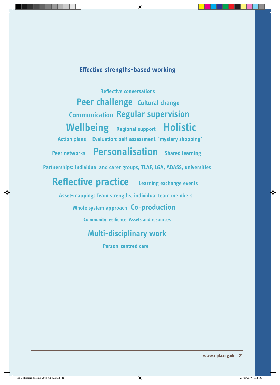## **Effective strengths-based working**

**Reflective conversations Peer challenge Cultural change Communication Regular supervision Wellbeing Regional support Holistic Evaluation: self-assessment, 'mystery shopping' Action plans Peer networks Personalisation Shared learning**

**Partnerships: Individual and carer groups, TLAP, LGA, ADASS, universities**

**Reflective practice Learning exchange events** 

**Asset-mapping: Team strengths, individual team members**

## **Whole system approach Co-production**

**Community resilience: Assets and resources** 

## **Multi-disciplinary work**

**Person-centred care**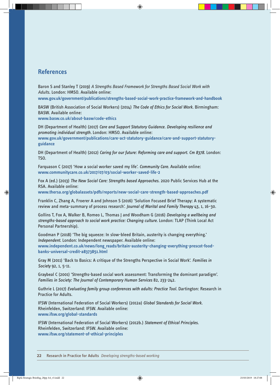### **References**

**guidance**

Baron S and Stanley T (2019) *A Strengths Based Framework for Strengths Based Social Work with Adults*. London: HMSO. Available online:

**www.gov.uk/government/publications/strengths-based-social-work-practice-framework-and-handbook**

BASW (British Association of Social Workers) (2014) *The Code of Ethics for Social Work.* Birmingham: BASW. Available online:

**www.basw.co.uk/about-basw/code-ethics** 

DH (Department of Health) (2017) *Care and Support Statutory Guidance. Developing resilience and promoting individual strength.* London: HMSO. Available online: **www.gov.uk/government/publications/care-act-statutory-guidance/care-and-support-statutory-**

DH (Department of Health) (2012) *Caring for our future: Reforming care and support. Cm 8378.* London: TSO.

Farquason C (2017) 'How a social worker saved my life'. *Community Care.* Available online: **www.communitycare.co.uk/2017/07/03/social-worker-saved-life-2**

Fox A (ed.) (2013) *The New Social Care: Strengths based Approaches.* 2020 Public Services Hub at the RSA. Available online:

**www.thersa.org/globalassets/pdfs/reports/new-social-care-strength-based-approaches.pdf** 

Franklin C, Zhang A, Froerer A and Johnson S (2016) 'Solution Focused Brief Therapy: A systematic review and meta-summary of process research'. *Journal of Marital and Family Therapy* 43, 1, 16–30.

Gollins T, Fox A, Walker B, Romeo L, Thomas J and Woodham G (2016) *Developing a wellbeing and strengths-based approach to social work practice: Changing culture.* London: TLAP (Think Local Act Personal Partnership).

Goodman P (2018) 'The big squeeze: In slow-bleed Britain, austerity is changing everything.' *Independent.* London: Independent newspaper. Available online:

www.independent.co.uk/news/long\_reads/britain-austerity-changing-everything-prescot-food**banks-universal-credit-a8373851.html**

Gray M (2011) 'Back to Basics: A critique of the Strengths Perspective in Social Work'. *Families in Society* 92, 1, 5-11.

Graybeal C (2001) 'Strengths-based social work assessment: Transforming the dominant paradigm'. *Families in Society: The Journal of Contemporary Human Services* 82, 233-242.

Guthrie L (2017) *Evaluating family group conferences with adults: Practice Tool.* Dartington: Research in Practice for Adults.

IFSW (International Federation of Social Workers) (2012a) *Global Standards for Social Work.* Rheinfelden, Switzerland: IFSW. Available online: **www.ifsw.org/global-standards** 

IFSW (International Federation of Social Workers) (2012b.) *Statement of Ethical Principles.* Rheinfelden, Switzerland: IFSW. Available online: **www.ifsw.org/statement-of-ethical-principles**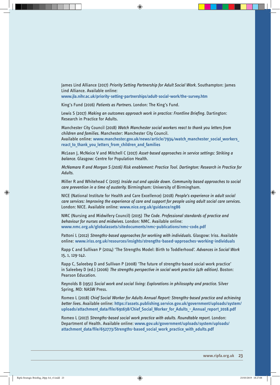James Lind Alliance (2017) *Priority Setting Partnership for Adult Social Work.* Southampton: James Lind Alliance. Available online: **www.jla.nihr.ac.uk/priority-setting-partnerships/adult-social-work/the-survey.htm** 

King's Fund (2016) *Patients as Partners.* London: The King's Fund.

Lewis S (2017) *Making an outcomes approach work in practice: Frontline Briefing.* Dartington: Research in Practice for Adults.

Manchester City Council (2018) *Watch Manchester social workers react to thank you letters from children and families.* Manchester: Manchester City Council.

Available online: **www.manchester.gov.uk/news/article/7934/watch\_manchester\_social\_workers\_** react to thank you letters from children and families

McLean J, McNeice V and Mitchell C (2017) *Asset-based approaches in service settings: Striking a balance.* Glasgow: Centre for Population Health.

*McNamara R and Morgan S (2016) Risk enablement: Practice Tool. Dartington: Research in Practice for Adults.*

Miller R and Whitehead C (2015) *Inside out and upside down. Community based approaches to social care prevention in a time of austerity.* Birmingham: University of Birmingham.

NICE (National Institute for Health and Care Excellence) (2018) *People's experience in adult social care services: Improving the experience of care and support for people using adult social care services.* London: NICE. Available online: **www.nice.org.uk/guidance/ng86** 

NMC (Nursing and Midwifery Council) (2015) *The Code. Professional standards of practice and behaviour for nurses and midwives.* London: NMC. Available online: **www.nmc.org.uk/globalassets/sitedocuments/nmc-publications/nmc-code.pdf**

Pattoni L (2012) *Strengths-based approaches for working with individuals.* Glasgow: Iriss. Available online: **www.iriss.org.uk/resources/insights/strengths-based-approaches-working-individuals**

Rapp C and Sullivan P (2014) 'The Strengths Model: Birth to Toddlerhood'. *Advances in Social Work* 15, 1, 129-142.

Rapp C, Saleebey D and Sullivan P (2008) 'The future of strengths-based social work practice' in Saleebey D (ed.) (2006) *The strengths perspective in social work practice (4th edition).* Boston: Pearson Education.

Reynolds B (1951) *Social work and social living: Explorations in philosophy and practice.* Silver Spring, MD: NASW Press.

Romeo L (2018) *Chief Social Worker for Adults Annual Report: Strengths-based practice and achieving better lives.* Available online: **https://assets.publishing.service.gov.uk/government/uploads/system/** uploads/attachment\_data/file/691638/Chief\_Social\_Worker\_for\_Adults\_-\_Annual\_report\_2018.pdf

Romeo L (2017) *Strengths-based social work practice with adults. Roundtable report.* London: Department of Health. Available online: **www.gov.uk/government/uploads/system/uploads/ attachment\_data/file/652773/Strengths-based\_social\_work\_practice\_with\_adults.pdf**